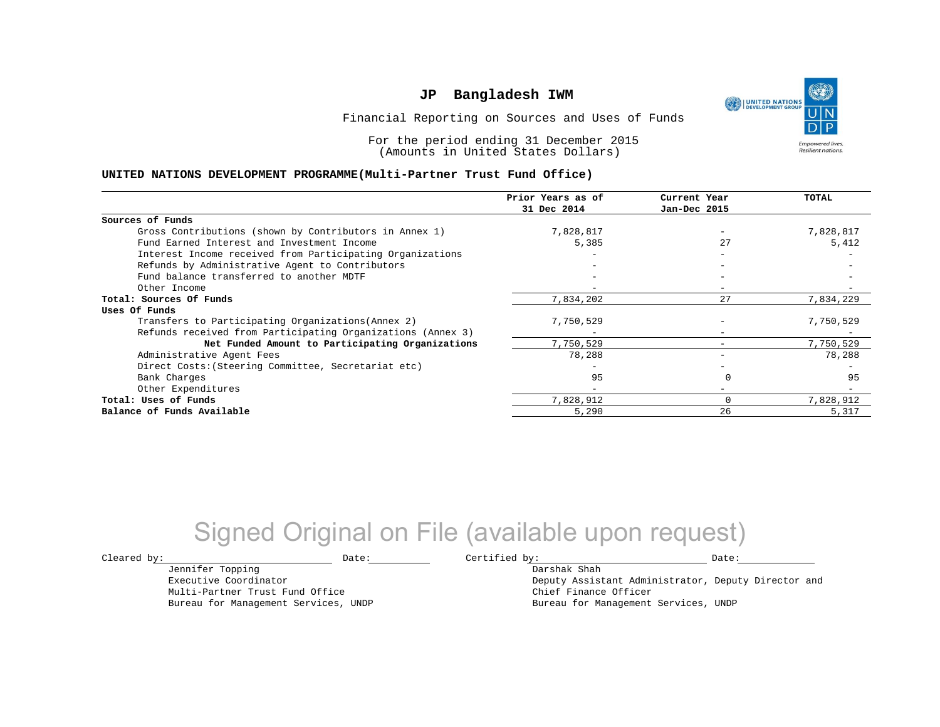UNITED NATIONS **Empowered lives Resilient nations.** 

Financial Reporting on Sources and Uses of Funds

For the period ending 31 December 2015 (Amounts in United States Dollars)

#### **UNITED NATIONS DEVELOPMENT PROGRAMME(Multi-Partner Trust Fund Office)**

|                                                             | Prior Years as of | Current Year             | TOTAL     |
|-------------------------------------------------------------|-------------------|--------------------------|-----------|
|                                                             | 31 Dec 2014       | Jan-Dec 2015             |           |
| Sources of Funds                                            |                   |                          |           |
| Gross Contributions (shown by Contributors in Annex 1)      | 7,828,817         |                          | 7,828,817 |
| Fund Earned Interest and Investment Income                  | 5,385             | 27                       | 5,412     |
| Interest Income received from Participating Organizations   |                   | $-$                      |           |
| Refunds by Administrative Agent to Contributors             |                   | -                        |           |
| Fund balance transferred to another MDTF                    |                   |                          |           |
| Other Income                                                |                   |                          |           |
| Total: Sources Of Funds                                     | 7,834,202         | 27                       | 7,834,229 |
| Uses Of Funds                                               |                   |                          |           |
| Transfers to Participating Organizations (Annex 2)          | 7,750,529         |                          | 7,750,529 |
| Refunds received from Participating Organizations (Annex 3) |                   | $\overline{\phantom{0}}$ |           |
| Net Funded Amount to Participating Organizations            | 7,750,529         |                          | 7,750,529 |
| Administrative Agent Fees                                   | 78,288            |                          | 78,288    |
| Direct Costs: (Steering Committee, Secretariat etc)         |                   |                          |           |
| Bank Charges                                                | 95                |                          | 95        |
| Other Expenditures                                          | $-$               | $-$                      |           |
| Total: Uses of Funds                                        | 7,828,912         |                          | 7,828,912 |
| Balance of Funds Available                                  | 5,290             | 26                       | 5,317     |

## Signed Original on File (available upon request)

 $\texttt{Cleared by:}\footnotesize \begin{minipage}{0.9\linewidth} \texttt{Date:}\footnotesize \begin{minipage}{0.9\linewidth} \texttt{Date:}\footnotesize \begin{minipage}{0.9\linewidth} \end{minipage} \end{minipage}$ 

Jennifer Topping Executive Coordinator

Multi-Partner Trust Fund Office Bureau for Management Services, UNDP

Darshak Shah Deputy Assistant Administrator, Deputy Director and Chief Finance Officer Bureau for Management Services, UNDP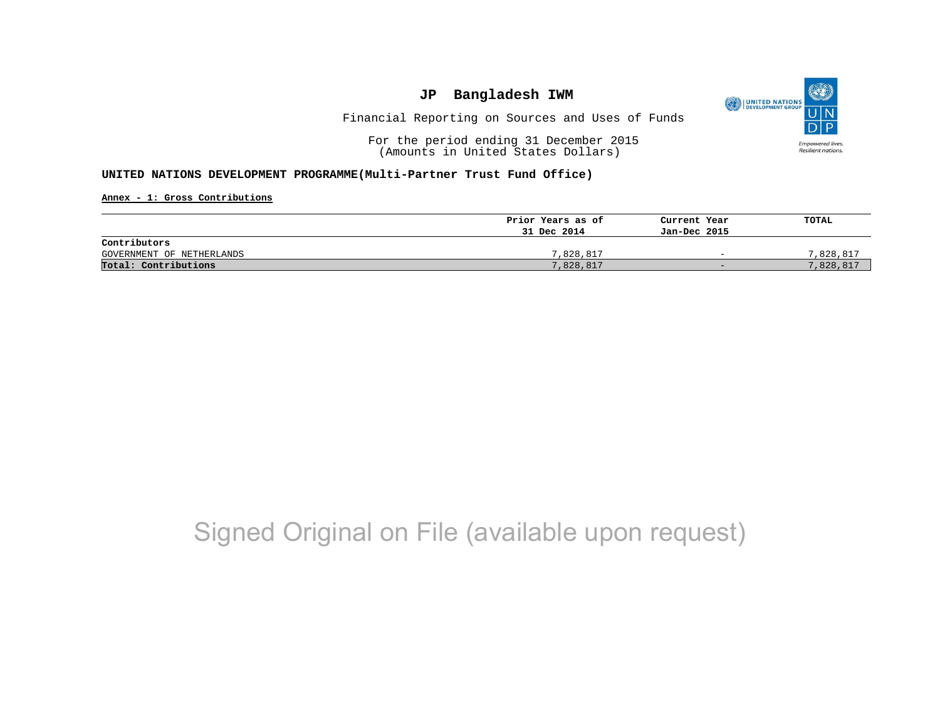

Financial Reporting on Sources and Uses of Funds

For the period ending 31 December 2015 (Amounts in United States Dollars)

#### **UNITED NATIONS DEVELOPMENT PROGRAMME(Multi-Partner Trust Fund Office)**

**Annex - 1: Gross Contributions**

|                           | Prior Years as of | Current Year             | TOTAL     |
|---------------------------|-------------------|--------------------------|-----------|
|                           | 31 Dec 2014       | Jan-Dec 2015             |           |
| Contributors              |                   |                          |           |
| GOVERNMENT OF NETHERLANDS | 7,828,817         | $\overline{\phantom{0}}$ | 7,828,817 |
| Total: Contributions      | 7,828,817         | $-$                      | 7,828,817 |

# Signed Original on File (available upon request)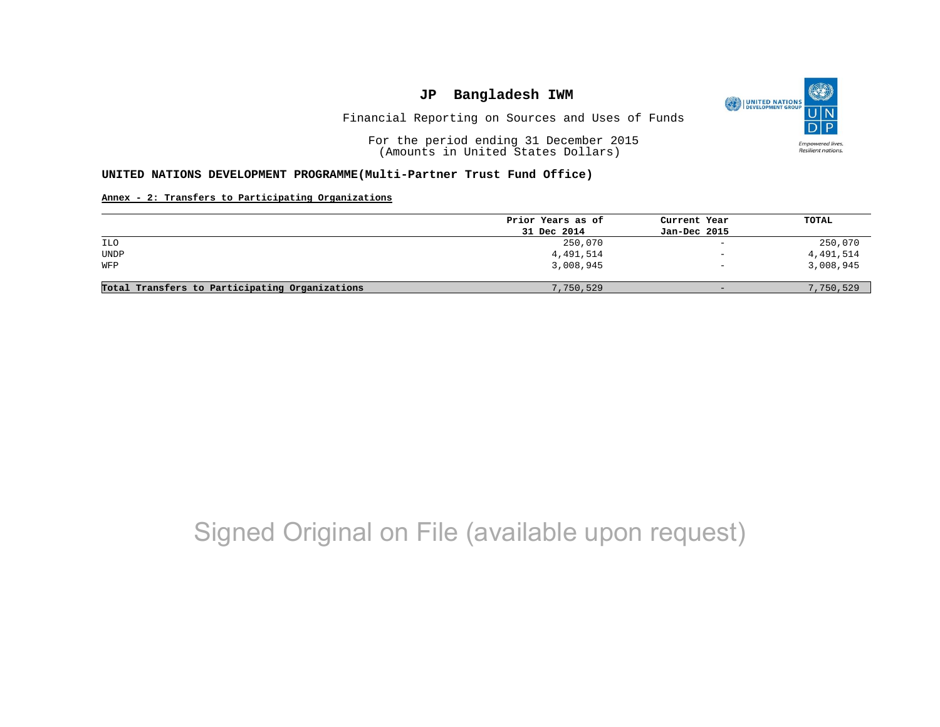

Financial Reporting on Sources and Uses of Funds

For the period ending 31 December 2015 (Amounts in United States Dollars)

#### **UNITED NATIONS DEVELOPMENT PROGRAMME(Multi-Partner Trust Fund Office)**

#### **Annex - 2: Transfers to Participating Organizations**

|                                                | Prior Years as of | Current Year             | TOTAL     |
|------------------------------------------------|-------------------|--------------------------|-----------|
|                                                | 31 Dec 2014       | Jan-Dec 2015             |           |
| ILO                                            | 250,070           | $\sim$                   | 250,070   |
| <b>UNDP</b>                                    | 4,491,514         | $\qquad \qquad -$        | 4,491,514 |
| WFP                                            | 3,008,945         | $\overline{\phantom{m}}$ | 3,008,945 |
| Total Transfers to Participating Organizations | 7,750,529         | $-$                      | 7,750,529 |

# Signed Original on File (available upon request)